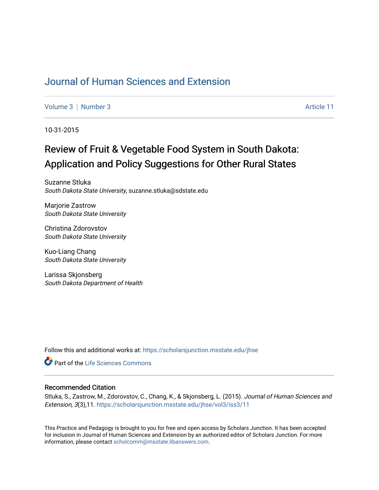# [Journal of Human Sciences and Extension](https://scholarsjunction.msstate.edu/jhse)

[Volume 3](https://scholarsjunction.msstate.edu/jhse/vol3) [Number 3](https://scholarsjunction.msstate.edu/jhse/vol3/iss3) Article 11

10-31-2015

# Review of Fruit & Vegetable Food System in South Dakota: Application and Policy Suggestions for Other Rural States

Suzanne Stluka South Dakota State University, suzanne.stluka@sdstate.edu

Marjorie Zastrow South Dakota State University

Christina Zdorovstov South Dakota State University

Kuo-Liang Chang South Dakota State University

Larissa Skjonsberg South Dakota Department of Health

Follow this and additional works at: [https://scholarsjunction.msstate.edu/jhse](https://scholarsjunction.msstate.edu/jhse?utm_source=scholarsjunction.msstate.edu%2Fjhse%2Fvol3%2Fiss3%2F11&utm_medium=PDF&utm_campaign=PDFCoverPages)

Part of the [Life Sciences Commons](http://network.bepress.com/hgg/discipline/1016?utm_source=scholarsjunction.msstate.edu%2Fjhse%2Fvol3%2Fiss3%2F11&utm_medium=PDF&utm_campaign=PDFCoverPages) 

#### Recommended Citation

Stluka, S., Zastrow, M., Zdorovstov, C., Chang, K., & Skjonsberg, L. (2015). Journal of Human Sciences and Extension, 3(3),11. [https://scholarsjunction.msstate.edu/jhse/vol3/iss3/11](https://scholarsjunction.msstate.edu/jhse/vol3/iss3/11?utm_source=scholarsjunction.msstate.edu%2Fjhse%2Fvol3%2Fiss3%2F11&utm_medium=PDF&utm_campaign=PDFCoverPages)

This Practice and Pedagogy is brought to you for free and open access by Scholars Junction. It has been accepted for inclusion in Journal of Human Sciences and Extension by an authorized editor of Scholars Junction. For more information, please contact [scholcomm@msstate.libanswers.com](mailto:scholcomm@msstate.libanswers.com).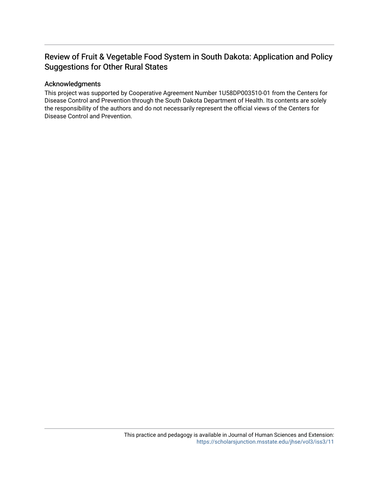# Review of Fruit & Vegetable Food System in South Dakota: Application and Policy Suggestions for Other Rural States

#### Acknowledgments

This project was supported by Cooperative Agreement Number 1U58DP003510-01 from the Centers for Disease Control and Prevention through the South Dakota Department of Health. Its contents are solely the responsibility of the authors and do not necessarily represent the official views of the Centers for Disease Control and Prevention.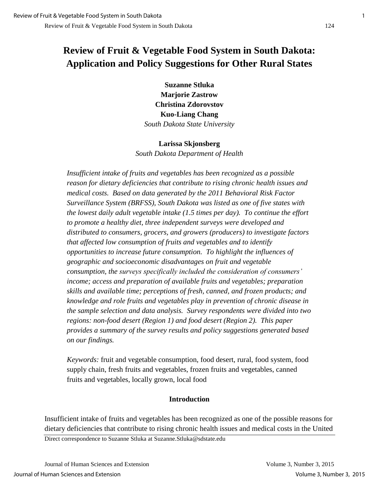# **Review of Fruit & Vegetable Food System in South Dakota: Application and Policy Suggestions for Other Rural States**

**Suzanne Stluka Marjorie Zastrow Christina Zdorovstov Kuo-Liang Chang**  *South Dakota State University* 

#### **Larissa Skjonsberg**

*South Dakota Department of Health*

*Insufficient intake of fruits and vegetables has been recognized as a possible reason for dietary deficiencies that contribute to rising chronic health issues and medical costs. Based on data generated by the 2011 Behavioral Risk Factor Surveillance System (BRFSS), South Dakota was listed as one of five states with the lowest daily adult vegetable intake (1.5 times per day). To continue the effort to promote a healthy diet, three independent surveys were developed and distributed to consumers, grocers, and growers (producers) to investigate factors that affected low consumption of fruits and vegetables and to identify opportunities to increase future consumption. To highlight the influences of geographic and socioeconomic disadvantages on fruit and vegetable consumption, the surveys specifically included the consideration of consumers' income; access and preparation of available fruits and vegetables; preparation skills and available time; perceptions of fresh, canned, and frozen products; and knowledge and role fruits and vegetables play in prevention of chronic disease in the sample selection and data analysis. Survey respondents were divided into two regions: non-food desert (Region 1) and food desert (Region 2). This paper provides a summary of the survey results and policy suggestions generated based on our findings.* 

*Keywords:* fruit and vegetable consumption, food desert, rural, food system, food supply chain, fresh fruits and vegetables, frozen fruits and vegetables, canned fruits and vegetables, locally grown, local food

## **Introduction**

Insufficient intake of fruits and vegetables has been recognized as one of the possible reasons for dietary deficiencies that contribute to rising chronic health issues and medical costs in the United

Direct correspondence to Suzanne Stluka at Suzanne.Stluka@sdstate.edu

Journal of Human Sciences and Extension Volume 3, Number 3, 2015 Journal of Human Sciences and Extension Volume 3, Number 3, 2015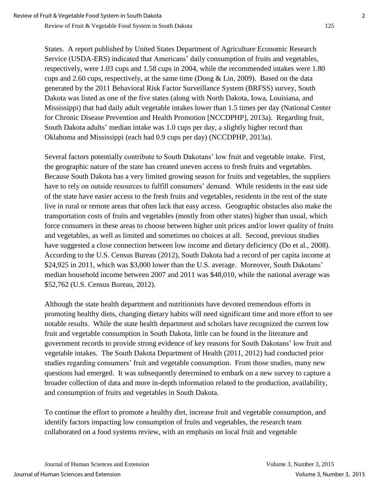States. A report published by United States Department of Agriculture Economic Research Service (USDA-ERS) indicated that Americans' daily consumption of fruits and vegetables, respectively, were 1.03 cups and 1.58 cups in 2004, while the recommended intakes were 1.80 cups and 2.60 cups, respectively, at the same time (Dong & Lin, 2009). Based on the data generated by the 2011 Behavioral Risk Factor Surveillance System (BRFSS) survey, South Dakota was listed as one of the five states (along with North Dakota, Iowa, Louisiana, and Mississippi) that had daily adult vegetable intakes lower than 1.5 times per day (National Center for Chronic Disease Prevention and Health Promotion [NCCDPHP], 2013a). Regarding fruit, South Dakota adults' median intake was 1.0 cups per day, a slightly higher record than Oklahoma and Mississippi (each had 0.9 cups per day) (NCCDPHP, 2013a).

Several factors potentially contribute to South Dakotans' low fruit and vegetable intake. First, the geographic nature of the state has created uneven access to fresh fruits and vegetables. Because South Dakota has a very limited growing season for fruits and vegetables, the suppliers have to rely on outside resources to fulfill consumers' demand. While residents in the east side of the state have easier access to the fresh fruits and vegetables, residents in the rest of the state live in rural or remote areas that often lack that easy access. Geographic obstacles also make the transportation costs of fruits and vegetables (mostly from other states) higher than usual, which force consumers in these areas to choose between higher unit prices and/or lower quality of fruits and vegetables, as well as limited and sometimes no choices at all. Second, previous studies have suggested a close connection between low income and dietary deficiency (Do et al., 2008). According to the U.S. Census Bureau (2012), South Dakota had a record of per capita income at \$24,925 in 2011, which was \$3,000 lower than the U.S. average. Moreover, South Dakotans' median household income between 2007 and 2011 was \$48,010, while the national average was \$52,762 (U.S. Census Bureau, 2012).

Although the state health department and nutritionists have devoted tremendous efforts in promoting healthy diets, changing dietary habits will need significant time and more effort to see notable results. While the state health department and scholars have recognized the current low fruit and vegetable consumption in South Dakota, little can be found in the literature and government records to provide strong evidence of key reasons for South Dakotans' low fruit and vegetable intakes. The South Dakota Department of Health (2011, 2012) had conducted prior studies regarding consumers' fruit and vegetable consumption. From those studies, many new questions had emerged. It was subsequently determined to embark on a new survey to capture a broader collection of data and more in-depth information related to the production, availability, and consumption of fruits and vegetables in South Dakota.

To continue the effort to promote a healthy diet, increase fruit and vegetable consumption, and identify factors impacting low consumption of fruits and vegetables, the research team collaborated on a food systems review, with an emphasis on local fruit and vegetable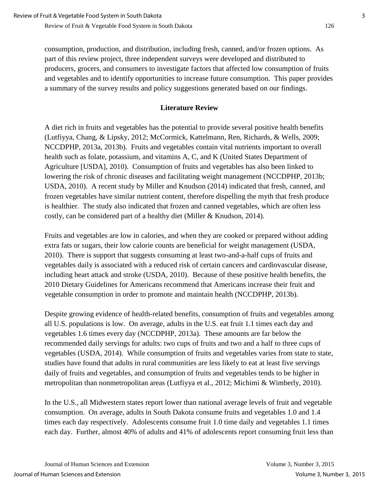consumption, production, and distribution, including fresh, canned, and/or frozen options. As part of this review project, three independent surveys were developed and distributed to producers, grocers, and consumers to investigate factors that affected low consumption of fruits and vegetables and to identify opportunities to increase future consumption. This paper provides a summary of the survey results and policy suggestions generated based on our findings.

# **Literature Review**

A diet rich in fruits and vegetables has the potential to provide several positive health benefits (Lutfiyya, Chang, & Lipsky, 2012; McCormick, Kattelmann, Ren, Richards, & Wells, 2009; NCCDPHP, 2013a, 2013b). Fruits and vegetables contain vital nutrients important to overall health such as folate, potassium, and vitamins A, C, and K (United States Department of Agriculture [USDA], 2010). Consumption of fruits and vegetables has also been linked to lowering the risk of chronic diseases and facilitating weight management (NCCDPHP, 2013b; USDA, 2010). A recent study by Miller and Knudson (2014) indicated that fresh, canned, and frozen vegetables have similar nutrient content, therefore dispelling the myth that fresh produce is healthier. The study also indicated that frozen and canned vegetables, which are often less costly, can be considered part of a healthy diet (Miller & Knudson, 2014).

Fruits and vegetables are low in calories, and when they are cooked or prepared without adding extra fats or sugars, their low calorie counts are beneficial for weight management (USDA, 2010). There is support that suggests consuming at least two-and-a-half cups of fruits and vegetables daily is associated with a reduced risk of certain cancers and cardiovascular disease, including heart attack and stroke (USDA, 2010). Because of these positive health benefits, the 2010 Dietary Guidelines for Americans recommend that Americans increase their fruit and vegetable consumption in order to promote and maintain health (NCCDPHP, 2013b).

Despite growing evidence of health-related benefits, consumption of fruits and vegetables among all U.S. populations is low. On average, adults in the U.S. eat fruit 1.1 times each day and vegetables 1.6 times every day (NCCDPHP, 2013a). These amounts are far below the recommended daily servings for adults: two cups of fruits and two and a half to three cups of vegetables (USDA, 2014). While consumption of fruits and vegetables varies from state to state, studies have found that adults in rural communities are less likely to eat at least five servings daily of fruits and vegetables, and consumption of fruits and vegetables tends to be higher in metropolitan than nonmetropolitan areas (Lutfiyya et al., 2012; Michimi & Wimberly, 2010).

In the U.S., all Midwestern states report lower than national average levels of fruit and vegetable consumption. On average, adults in South Dakota consume fruits and vegetables 1.0 and 1.4 times each day respectively. Adolescents consume fruit 1.0 time daily and vegetables 1.1 times each day. Further, almost 40% of adults and 41% of adolescents report consuming fruit less than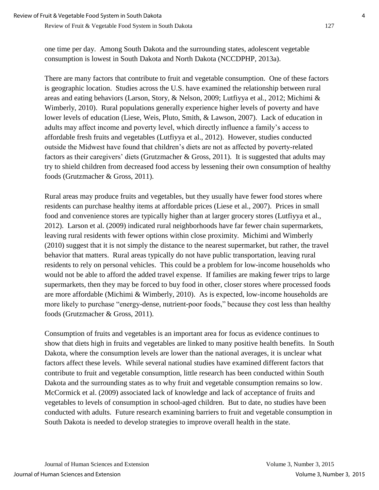one time per day. Among South Dakota and the surrounding states, adolescent vegetable consumption is lowest in South Dakota and North Dakota (NCCDPHP, 2013a).

There are many factors that contribute to fruit and vegetable consumption. One of these factors is geographic location. Studies across the U.S. have examined the relationship between rural areas and eating behaviors (Larson, Story, & Nelson, 2009; Lutfiyya et al., 2012; Michimi & Wimberly, 2010). Rural populations generally experience higher levels of poverty and have lower levels of education (Liese, Weis, Pluto, Smith, & Lawson, 2007). Lack of education in adults may affect income and poverty level, which directly influence a family's access to affordable fresh fruits and vegetables (Lutfiyya et al., 2012). However, studies conducted outside the Midwest have found that children's diets are not as affected by poverty-related factors as their caregivers' diets (Grutzmacher & Gross, 2011). It is suggested that adults may try to shield children from decreased food access by lessening their own consumption of healthy foods (Grutzmacher & Gross, 2011).

Rural areas may produce fruits and vegetables, but they usually have fewer food stores where residents can purchase healthy items at affordable prices (Liese et al., 2007). Prices in small food and convenience stores are typically higher than at larger grocery stores (Lutfiyya et al., 2012). Larson et al. (2009) indicated rural neighborhoods have far fewer chain supermarkets, leaving rural residents with fewer options within close proximity. Michimi and Wimberly (2010) suggest that it is not simply the distance to the nearest supermarket, but rather, the travel behavior that matters. Rural areas typically do not have public transportation, leaving rural residents to rely on personal vehicles. This could be a problem for low-income households who would not be able to afford the added travel expense. If families are making fewer trips to large supermarkets, then they may be forced to buy food in other, closer stores where processed foods are more affordable (Michimi & Wimberly, 2010). As is expected, low-income households are more likely to purchase "energy-dense, nutrient-poor foods," because they cost less than healthy foods (Grutzmacher & Gross, 2011).

Consumption of fruits and vegetables is an important area for focus as evidence continues to show that diets high in fruits and vegetables are linked to many positive health benefits. In South Dakota, where the consumption levels are lower than the national averages, it is unclear what factors affect these levels. While several national studies have examined different factors that contribute to fruit and vegetable consumption, little research has been conducted within South Dakota and the surrounding states as to why fruit and vegetable consumption remains so low. McCormick et al. (2009) associated lack of knowledge and lack of acceptance of fruits and vegetables to levels of consumption in school-aged children. But to date, no studies have been conducted with adults. Future research examining barriers to fruit and vegetable consumption in South Dakota is needed to develop strategies to improve overall health in the state.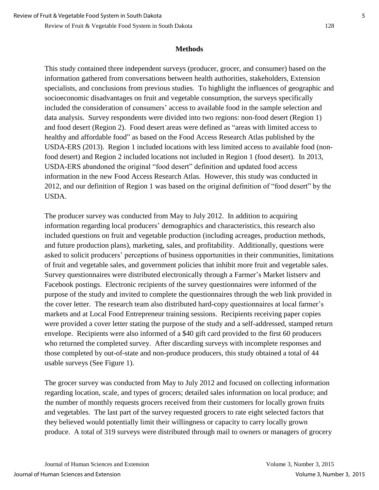#### **Methods**

This study contained three independent surveys (producer, grocer, and consumer) based on the information gathered from conversations between health authorities, stakeholders, Extension specialists, and conclusions from previous studies. To highlight the influences of geographic and socioeconomic disadvantages on fruit and vegetable consumption, the surveys specifically included the consideration of consumers' access to available food in the sample selection and data analysis. Survey respondents were divided into two regions: non-food desert (Region 1) and food desert (Region 2). Food desert areas were defined as "areas with limited access to healthy and affordable food" as based on the Food Access Research Atlas published by the USDA-ERS (2013). Region 1 included locations with less limited access to available food (nonfood desert) and Region 2 included locations not included in Region 1 (food desert). In 2013, USDA-ERS abandoned the original "food desert" definition and updated food access information in the new Food Access Research Atlas. However, this study was conducted in 2012, and our definition of Region 1 was based on the original definition of "food desert" by the USDA.

The producer survey was conducted from May to July 2012. In addition to acquiring information regarding local producers' demographics and characteristics, this research also included questions on fruit and vegetable production (including acreages, production methods, and future production plans), marketing, sales, and profitability. Additionally, questions were asked to solicit producers' perceptions of business opportunities in their communities, limitations of fruit and vegetable sales, and government policies that inhibit more fruit and vegetable sales. Survey questionnaires were distributed electronically through a Farmer's Market listserv and Facebook postings. Electronic recipients of the survey questionnaires were informed of the purpose of the study and invited to complete the questionnaires through the web link provided in the cover letter. The research team also distributed hard-copy questionnaires at local farmer's markets and at Local Food Entrepreneur training sessions. Recipients receiving paper copies were provided a cover letter stating the purpose of the study and a self-addressed, stamped return envelope. Recipients were also informed of a \$40 gift card provided to the first 60 producers who returned the completed survey. After discarding surveys with incomplete responses and those completed by out-of-state and non-produce producers, this study obtained a total of 44 usable surveys (See Figure 1).

The grocer survey was conducted from May to July 2012 and focused on collecting information regarding location, scale, and types of grocers; detailed sales information on local produce; and the number of monthly requests grocers received from their customers for locally grown fruits and vegetables. The last part of the survey requested grocers to rate eight selected factors that they believed would potentially limit their willingness or capacity to carry locally grown produce. A total of 319 surveys were distributed through mail to owners or managers of grocery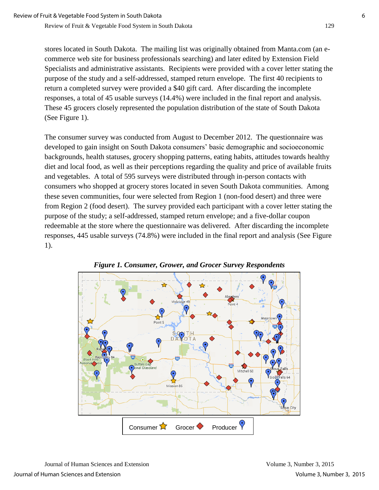stores located in South Dakota. The mailing list was originally obtained from Manta.com (an ecommerce web site for business professionals searching) and later edited by Extension Field Specialists and administrative assistants. Recipients were provided with a cover letter stating the purpose of the study and a self-addressed, stamped return envelope. The first 40 recipients to return a completed survey were provided a \$40 gift card. After discarding the incomplete responses, a total of 45 usable surveys (14.4%) were included in the final report and analysis. These 45 grocers closely represented the population distribution of the state of South Dakota (See Figure 1).

The consumer survey was conducted from August to December 2012. The questionnaire was developed to gain insight on South Dakota consumers' basic demographic and socioeconomic backgrounds, health statuses, grocery shopping patterns, eating habits, attitudes towards healthy diet and local food, as well as their perceptions regarding the quality and price of available fruits and vegetables. A total of 595 surveys were distributed through in-person contacts with consumers who shopped at grocery stores located in seven South Dakota communities. Among these seven communities, four were selected from Region 1 (non-food desert) and three were from Region 2 (food desert). The survey provided each participant with a cover letter stating the purpose of the study; a self-addressed, stamped return envelope; and a five-dollar coupon redeemable at the store where the questionnaire was delivered. After discarding the incomplete responses, 445 usable surveys (74.8%) were included in the final report and analysis (See Figure 1).



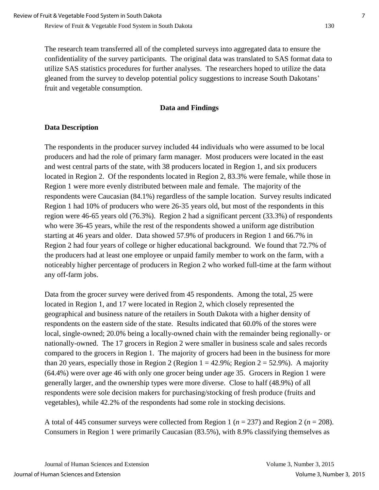The research team transferred all of the completed surveys into aggregated data to ensure the confidentiality of the survey participants. The original data was translated to SAS format data to utilize SAS statistics procedures for further analyses. The researchers hoped to utilize the data gleaned from the survey to develop potential policy suggestions to increase South Dakotans' fruit and vegetable consumption.

## **Data and Findings**

# **Data Description**

The respondents in the producer survey included 44 individuals who were assumed to be local producers and had the role of primary farm manager. Most producers were located in the east and west central parts of the state, with 38 producers located in Region 1, and six producers located in Region 2. Of the respondents located in Region 2, 83.3% were female, while those in Region 1 were more evenly distributed between male and female. The majority of the respondents were Caucasian (84.1%) regardless of the sample location. Survey results indicated Region 1 had 10% of producers who were 26-35 years old, but most of the respondents in this region were 46-65 years old (76.3%). Region 2 had a significant percent (33.3%) of respondents who were 36-45 years, while the rest of the respondents showed a uniform age distribution starting at 46 years and older. Data showed 57.9% of producers in Region 1 and 66.7% in Region 2 had four years of college or higher educational background. We found that 72.7% of the producers had at least one employee or unpaid family member to work on the farm, with a noticeably higher percentage of producers in Region 2 who worked full-time at the farm without any off-farm jobs.

Data from the grocer survey were derived from 45 respondents. Among the total, 25 were located in Region 1, and 17 were located in Region 2, which closely represented the geographical and business nature of the retailers in South Dakota with a higher density of respondents on the eastern side of the state. Results indicated that 60.0% of the stores were local, single-owned; 20.0% being a locally-owned chain with the remainder being regionally- or nationally-owned. The 17 grocers in Region 2 were smaller in business scale and sales records compared to the grocers in Region 1. The majority of grocers had been in the business for more than 20 years, especially those in Region 2 (Region  $1 = 42.9\%$ ; Region  $2 = 52.9\%$ ). A majority (64.4%) were over age 46 with only one grocer being under age 35. Grocers in Region 1 were generally larger, and the ownership types were more diverse. Close to half (48.9%) of all respondents were sole decision makers for purchasing/stocking of fresh produce (fruits and vegetables), while 42.2% of the respondents had some role in stocking decisions.

A total of 445 consumer surveys were collected from Region 1 (*n* = 237) and Region 2 (*n* = 208). Consumers in Region 1 were primarily Caucasian (83.5%), with 8.9% classifying themselves as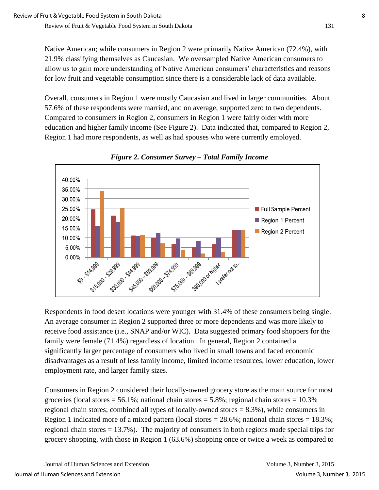Native American; while consumers in Region 2 were primarily Native American (72.4%), with 21.9% classifying themselves as Caucasian. We oversampled Native American consumers to allow us to gain more understanding of Native American consumers' characteristics and reasons for low fruit and vegetable consumption since there is a considerable lack of data available.

Overall, consumers in Region 1 were mostly Caucasian and lived in larger communities. About 57.6% of these respondents were married, and on average, supported zero to two dependents. Compared to consumers in Region 2, consumers in Region 1 were fairly older with more education and higher family income (See Figure 2). Data indicated that, compared to Region 2, Region 1 had more respondents, as well as had spouses who were currently employed.



*Figure 2. Consumer Survey – Total Family Income* 

Respondents in food desert locations were younger with 31.4% of these consumers being single. An average consumer in Region 2 supported three or more dependents and was more likely to receive food assistance (i.e., SNAP and/or WIC). Data suggested primary food shoppers for the family were female (71.4%) regardless of location. In general, Region 2 contained a significantly larger percentage of consumers who lived in small towns and faced economic disadvantages as a result of less family income, limited income resources, lower education, lower employment rate, and larger family sizes.

Consumers in Region 2 considered their locally-owned grocery store as the main source for most groceries (local stores  $= 56.1\%$ ; national chain stores  $= 5.8\%$ ; regional chain stores  $= 10.3\%$ regional chain stores; combined all types of locally-owned stores = 8.3%), while consumers in Region 1 indicated more of a mixed pattern (local stores  $= 28.6\%$ ; national chain stores  $= 18.3\%$ ; regional chain stores = 13.7%). The majority of consumers in both regions made special trips for grocery shopping, with those in Region 1 (63.6%) shopping once or twice a week as compared to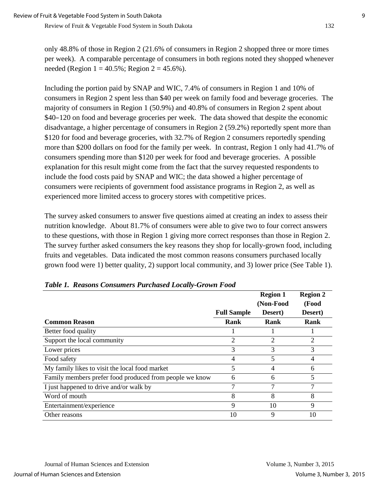only 48.8% of those in Region 2 (21.6% of consumers in Region 2 shopped three or more times per week). A comparable percentage of consumers in both regions noted they shopped whenever needed (Region  $1 = 40.5\%$ ; Region  $2 = 45.6\%$ ).

Including the portion paid by SNAP and WIC, 7.4% of consumers in Region 1 and 10% of consumers in Region 2 spent less than \$40 per week on family food and beverage groceries. The majority of consumers in Region 1 (50.9%) and 40.8% of consumers in Region 2 spent about \$40–120 on food and beverage groceries per week. The data showed that despite the economic disadvantage, a higher percentage of consumers in Region 2 (59.2%) reportedly spent more than \$120 for food and beverage groceries, with 32.7% of Region 2 consumers reportedly spending more than \$200 dollars on food for the family per week. In contrast, Region 1 only had 41.7% of consumers spending more than \$120 per week for food and beverage groceries. A possible explanation for this result might come from the fact that the survey requested respondents to include the food costs paid by SNAP and WIC; the data showed a higher percentage of consumers were recipients of government food assistance programs in Region 2, as well as experienced more limited access to grocery stores with competitive prices.

The survey asked consumers to answer five questions aimed at creating an index to assess their nutrition knowledge. About 81.7% of consumers were able to give two to four correct answers to these questions, with those in Region 1 giving more correct responses than those in Region 2. The survey further asked consumers the key reasons they shop for locally-grown food, including fruits and vegetables. Data indicated the most common reasons consumers purchased locally grown food were 1) better quality, 2) support local community, and 3) lower price (See Table 1).

|                                                         |                    | <b>Region 1</b><br>(Non-Food | <b>Region 2</b><br>(Food |
|---------------------------------------------------------|--------------------|------------------------------|--------------------------|
|                                                         | <b>Full Sample</b> | Desert)                      | Desert)                  |
| <b>Common Reason</b>                                    | Rank               | Rank                         | Rank                     |
| Better food quality                                     |                    |                              |                          |
| Support the local community                             | 2                  | 2                            | 2                        |
| Lower prices                                            | 3                  | 3                            | 3                        |
| Food safety                                             | 4                  | 5                            | $\overline{4}$           |
| My family likes to visit the local food market          |                    | 4                            | 6                        |
| Family members prefer food produced from people we know | 6                  | 6                            | 5                        |
| I just happened to drive and/or walk by                 |                    |                              | 7                        |
| Word of mouth                                           | 8                  | 8                            | 8                        |
| Entertainment/experience                                | 9                  | 10                           | 9                        |
| Other reasons                                           | 10                 | 9                            | 10                       |

|  |  | Table 1. Reasons Consumers Purchased Locally-Grown Food |  |
|--|--|---------------------------------------------------------|--|
|  |  |                                                         |  |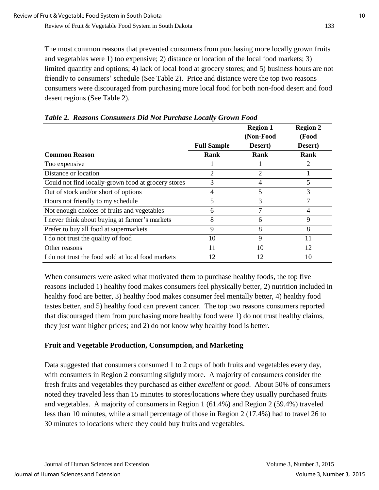The most common reasons that prevented consumers from purchasing more locally grown fruits and vegetables were 1) too expensive; 2) distance or location of the local food markets; 3) limited quantity and options; 4) lack of local food at grocery stores; and 5) business hours are not friendly to consumers' schedule (See Table 2). Price and distance were the top two reasons consumers were discouraged from purchasing more local food for both non-food desert and food desert regions (See Table 2).

|                                                     |                    | <b>Region 1</b><br>(Non-Food | <b>Region 2</b><br>(Food |
|-----------------------------------------------------|--------------------|------------------------------|--------------------------|
|                                                     | <b>Full Sample</b> | Desert)                      | Desert)                  |
| <b>Common Reason</b>                                | Rank               | Rank                         | <b>Rank</b>              |
| Too expensive                                       |                    |                              | 2                        |
| Distance or location                                | 2                  | 2                            |                          |
| Could not find locally-grown food at grocery stores | 3                  | 4                            | 5                        |
| Out of stock and/or short of options                | 4                  | 5                            | 3                        |
| Hours not friendly to my schedule                   | 5                  | 3                            | 7                        |
| Not enough choices of fruits and vegetables         | 6                  | 7                            | 4                        |
| I never think about buying at farmer's markets      | 8                  | 6                            | 9                        |
| Prefer to buy all food at supermarkets              | 9                  | 8                            | 8                        |
| I do not trust the quality of food                  | 10                 | 9                            | 11                       |
| Other reasons                                       | 11                 | 10                           | 12                       |
| I do not trust the food sold at local food markets  | 12                 | 12                           | 10                       |

*Table 2. Reasons Consumers Did Not Purchase Locally Grown Food*

When consumers were asked what motivated them to purchase healthy foods, the top five reasons included 1) healthy food makes consumers feel physically better, 2) nutrition included in healthy food are better, 3) healthy food makes consumer feel mentally better, 4) healthy food tastes better, and 5) healthy food can prevent cancer. The top two reasons consumers reported that discouraged them from purchasing more healthy food were 1) do not trust healthy claims, they just want higher prices; and 2) do not know why healthy food is better.

## **Fruit and Vegetable Production, Consumption, and Marketing**

Data suggested that consumers consumed 1 to 2 cups of both fruits and vegetables every day, with consumers in Region 2 consuming slightly more. A majority of consumers consider the fresh fruits and vegetables they purchased as either *excellent* or *good*. About 50% of consumers noted they traveled less than 15 minutes to stores/locations where they usually purchased fruits and vegetables. A majority of consumers in Region 1 (61.4%) and Region 2 (59.4%) traveled less than 10 minutes, while a small percentage of those in Region 2 (17.4%) had to travel 26 to 30 minutes to locations where they could buy fruits and vegetables.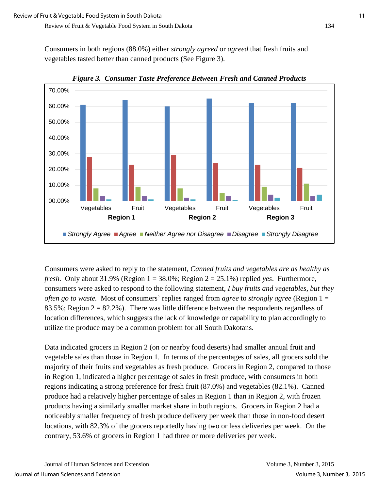Consumers in both regions (88.0%) either *strongly agreed* or *agreed* that fresh fruits and vegetables tasted better than canned products (See Figure 3).



*Figure 3. Consumer Taste Preference Between Fresh and Canned Products* 

Consumers were asked to reply to the statement, *Canned fruits and vegetables are as healthy as fresh*. Only about 31.9% (Region 1 = 38.0%; Region 2 = 25.1%) replied *yes*. Furthermore, consumers were asked to respond to the following statement, *I buy fruits and vegetables, but they often go to waste.* Most of consumers' replies ranged from *agree* to *strongly agree* (Region 1 = 83.5%; Region  $2 = 82.2$ %). There was little difference between the respondents regardless of location differences, which suggests the lack of knowledge or capability to plan accordingly to utilize the produce may be a common problem for all South Dakotans.

Data indicated grocers in Region 2 (on or nearby food deserts) had smaller annual fruit and vegetable sales than those in Region 1. In terms of the percentages of sales, all grocers sold the majority of their fruits and vegetables as fresh produce. Grocers in Region 2, compared to those in Region 1, indicated a higher percentage of sales in fresh produce, with consumers in both regions indicating a strong preference for fresh fruit (87.0%) and vegetables (82.1%). Canned produce had a relatively higher percentage of sales in Region 1 than in Region 2, with frozen products having a similarly smaller market share in both regions. Grocers in Region 2 had a noticeably smaller frequency of fresh produce delivery per week than those in non-food desert locations, with 82.3% of the grocers reportedly having two or less deliveries per week. On the contrary, 53.6% of grocers in Region 1 had three or more deliveries per week.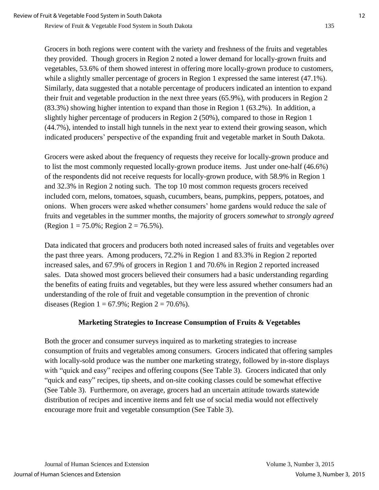Grocers in both regions were content with the variety and freshness of the fruits and vegetables they provided. Though grocers in Region 2 noted a lower demand for locally-grown fruits and vegetables, 53.6% of them showed interest in offering more locally-grown produce to customers, while a slightly smaller percentage of grocers in Region 1 expressed the same interest (47.1%). Similarly, data suggested that a notable percentage of producers indicated an intention to expand their fruit and vegetable production in the next three years (65.9%), with producers in Region 2 (83.3%) showing higher intention to expand than those in Region 1 (63.2%). In addition, a slightly higher percentage of producers in Region 2 (50%), compared to those in Region 1 (44.7%), intended to install high tunnels in the next year to extend their growing season, which indicated producers' perspective of the expanding fruit and vegetable market in South Dakota.

Grocers were asked about the frequency of requests they receive for locally-grown produce and to list the most commonly requested locally-grown produce items. Just under one-half (46.6%) of the respondents did not receive requests for locally-grown produce, with 58.9% in Region 1 and 32.3% in Region 2 noting such. The top 10 most common requests grocers received included corn, melons, tomatoes, squash, cucumbers, beans, pumpkins, peppers, potatoes, and onions. When grocers were asked whether consumers' home gardens would reduce the sale of fruits and vegetables in the summer months, the majority of grocers *somewhat* to *strongly agreed* (Region  $1 = 75.0\%$ ; Region  $2 = 76.5\%$ ).

Data indicated that grocers and producers both noted increased sales of fruits and vegetables over the past three years. Among producers, 72.2% in Region 1 and 83.3% in Region 2 reported increased sales, and 67.9% of grocers in Region 1 and 70.6% in Region 2 reported increased sales. Data showed most grocers believed their consumers had a basic understanding regarding the benefits of eating fruits and vegetables, but they were less assured whether consumers had an understanding of the role of fruit and vegetable consumption in the prevention of chronic diseases (Region  $1 = 67.9\%$ ; Region  $2 = 70.6\%$ ).

## **Marketing Strategies to Increase Consumption of Fruits & Vegetables**

Both the grocer and consumer surveys inquired as to marketing strategies to increase consumption of fruits and vegetables among consumers. Grocers indicated that offering samples with locally-sold produce was the number one marketing strategy, followed by in-store displays with "quick and easy" recipes and offering coupons (See Table 3). Grocers indicated that only "quick and easy" recipes, tip sheets, and on-site cooking classes could be somewhat effective (See Table 3). Furthermore, on average, grocers had an uncertain attitude towards statewide distribution of recipes and incentive items and felt use of social media would not effectively encourage more fruit and vegetable consumption (See Table 3).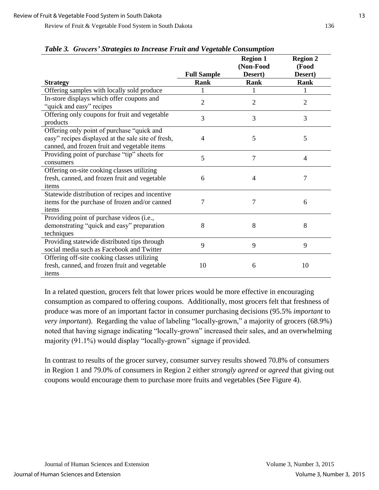|                                                                                                                                                  | <b>Full Sample</b> | <b>Region 1</b><br>(Non-Food<br>Desert) | <b>Region 2</b><br>(Food<br>Desert) |
|--------------------------------------------------------------------------------------------------------------------------------------------------|--------------------|-----------------------------------------|-------------------------------------|
| <b>Strategy</b>                                                                                                                                  | Rank               | <b>Rank</b>                             | Rank                                |
| Offering samples with locally sold produce                                                                                                       |                    | 1                                       |                                     |
| In-store displays which offer coupons and<br>"quick and easy" recipes                                                                            | $\overline{2}$     | $\overline{2}$                          | 2                                   |
| Offering only coupons for fruit and vegetable<br>products                                                                                        | 3                  | 3                                       | 3                                   |
| Offering only point of purchase "quick and<br>easy" recipes displayed at the sale site of fresh,<br>canned, and frozen fruit and vegetable items | 4                  | 5                                       | 5                                   |
| Providing point of purchase "tip" sheets for<br>consumers                                                                                        | 5                  | 7                                       | $\overline{4}$                      |
| Offering on-site cooking classes utilizing<br>fresh, canned, and frozen fruit and vegetable<br>items                                             | 6                  | $\overline{4}$                          | 7                                   |
| Statewide distribution of recipes and incentive<br>items for the purchase of frozen and/or canned<br>items                                       | 7                  | $\overline{7}$                          | 6                                   |
| Providing point of purchase videos (i.e.,<br>demonstrating "quick and easy" preparation<br>techniques                                            | 8                  | 8                                       | 8                                   |
| Providing statewide distributed tips through<br>social media such as Facebook and Twitter                                                        | 9                  | 9                                       | 9                                   |
| Offering off-site cooking classes utilizing<br>fresh, canned, and frozen fruit and vegetable<br>items                                            | 10                 | 6                                       | 10                                  |

*Table 3. Grocers' Strategies to Increase Fruit and Vegetable Consumption*

In a related question, grocers felt that lower prices would be more effective in encouraging consumption as compared to offering coupons. Additionally, most grocers felt that freshness of produce was more of an important factor in consumer purchasing decisions (95.5% *important* to *very important*). Regarding the value of labeling "locally-grown," a majority of grocers (68.9%) noted that having signage indicating "locally-grown" increased their sales, and an overwhelming majority (91.1%) would display "locally-grown" signage if provided.

In contrast to results of the grocer survey, consumer survey results showed 70.8% of consumers in Region 1 and 79.0% of consumers in Region 2 either *strongly agreed* or *agreed* that giving out coupons would encourage them to purchase more fruits and vegetables (See Figure 4).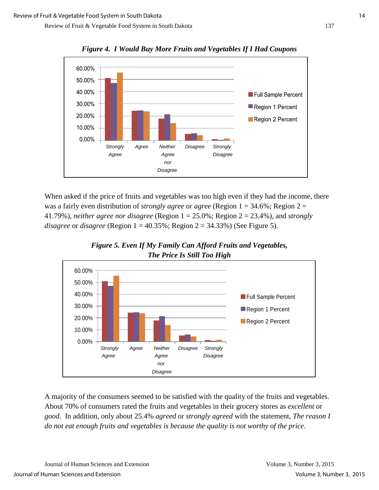

*Figure 4. I Would Buy More Fruits and Vegetables If I Had Coupons* 

When asked if the price of fruits and vegetables was too high even if they had the income, there was a fairly even distribution of *strongly agree* or *agree* (Region 1 = 34.6%; Region 2 = 41.79%), *neither agree nor disagree* (Region 1 = 25.0%; Region 2 = 23.4%), and *strongly disagree* or *disagree* (Region 1 = 40.35%; Region 2 = 34.33%) (See Figure 5).





A majority of the consumers seemed to be satisfied with the quality of the fruits and vegetables. About 70% of consumers rated the fruits and vegetables in their grocery stores as *excellent* or *good*. In addition, only about 25.4% *agreed* or *strongly agreed* with the statement, *The reason I do not eat enough fruits and vegetables is because the quality is not worthy of the price*.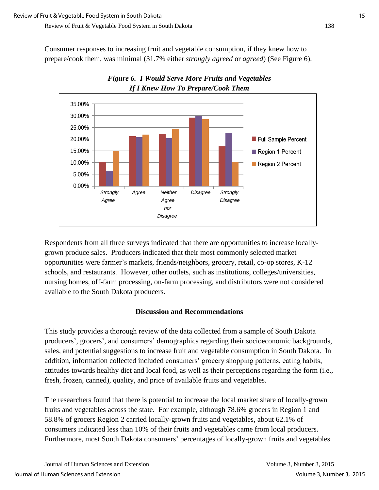Consumer responses to increasing fruit and vegetable consumption, if they knew how to prepare/cook them, was minimal (31.7% either *strongly agreed* or *agreed*) (See Figure 6).



*Figure 6. I Would Serve More Fruits and Vegetables If I Knew How To Prepare/Cook Them* 

Respondents from all three surveys indicated that there are opportunities to increase locallygrown produce sales. Producers indicated that their most commonly selected market opportunities were farmer's markets, friends/neighbors, grocery, retail, co-op stores, K-12 schools, and restaurants. However, other outlets, such as institutions, colleges/universities, nursing homes, off-farm processing, on-farm processing, and distributors were not considered available to the South Dakota producers.

# **Discussion and Recommendations**

This study provides a thorough review of the data collected from a sample of South Dakota producers', grocers', and consumers' demographics regarding their socioeconomic backgrounds, sales, and potential suggestions to increase fruit and vegetable consumption in South Dakota. In addition, information collected included consumers' grocery shopping patterns, eating habits, attitudes towards healthy diet and local food, as well as their perceptions regarding the form (i.e., fresh, frozen, canned), quality, and price of available fruits and vegetables.

The researchers found that there is potential to increase the local market share of locally-grown fruits and vegetables across the state. For example, although 78.6% grocers in Region 1 and 58.8% of grocers Region 2 carried locally-grown fruits and vegetables, about 62.1% of consumers indicated less than 10% of their fruits and vegetables came from local producers. Furthermore, most South Dakota consumers' percentages of locally-grown fruits and vegetables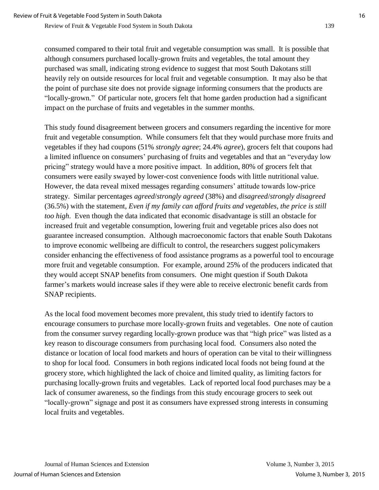consumed compared to their total fruit and vegetable consumption was small. It is possible that although consumers purchased locally-grown fruits and vegetables, the total amount they purchased was small, indicating strong evidence to suggest that most South Dakotans still heavily rely on outside resources for local fruit and vegetable consumption. It may also be that the point of purchase site does not provide signage informing consumers that the products are "locally-grown." Of particular note, grocers felt that home garden production had a significant impact on the purchase of fruits and vegetables in the summer months.

This study found disagreement between grocers and consumers regarding the incentive for more fruit and vegetable consumption. While consumers felt that they would purchase more fruits and vegetables if they had coupons (51% *strongly agree*; 24.4% *agree*), grocers felt that coupons had a limited influence on consumers' purchasing of fruits and vegetables and that an "everyday low pricing" strategy would have a more positive impact. In addition, 80% of grocers felt that consumers were easily swayed by lower-cost convenience foods with little nutritional value. However, the data reveal mixed messages regarding consumers' attitude towards low-price strategy. Similar percentages *agreed*/*strongly agreed* (38%) and *disagreed*/*strongly disagreed* (36.5%) with the statement, *Even if my family can afford fruits and vegetables, the price is still too high*. Even though the data indicated that economic disadvantage is still an obstacle for increased fruit and vegetable consumption, lowering fruit and vegetable prices also does not guarantee increased consumption. Although macroeconomic factors that enable South Dakotans to improve economic wellbeing are difficult to control, the researchers suggest policymakers consider enhancing the effectiveness of food assistance programs as a powerful tool to encourage more fruit and vegetable consumption. For example, around 25% of the producers indicated that they would accept SNAP benefits from consumers. One might question if South Dakota farmer's markets would increase sales if they were able to receive electronic benefit cards from SNAP recipients.

As the local food movement becomes more prevalent, this study tried to identify factors to encourage consumers to purchase more locally-grown fruits and vegetables. One note of caution from the consumer survey regarding locally-grown produce was that "high price" was listed as a key reason to discourage consumers from purchasing local food. Consumers also noted the distance or location of local food markets and hours of operation can be vital to their willingness to shop for local food. Consumers in both regions indicated local foods not being found at the grocery store, which highlighted the lack of choice and limited quality, as limiting factors for purchasing locally-grown fruits and vegetables. Lack of reported local food purchases may be a lack of consumer awareness, so the findings from this study encourage grocers to seek out "locally-grown" signage and post it as consumers have expressed strong interests in consuming local fruits and vegetables.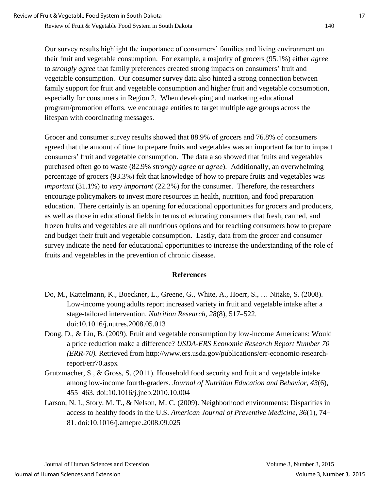Our survey results highlight the importance of consumers' families and living environment on their fruit and vegetable consumption. For example, a majority of grocers (95.1%) either *agree* to *strongly agree* that family preferences created strong impacts on consumers' fruit and vegetable consumption. Our consumer survey data also hinted a strong connection between family support for fruit and vegetable consumption and higher fruit and vegetable consumption, especially for consumers in Region 2. When developing and marketing educational program/promotion efforts, we encourage entities to target multiple age groups across the lifespan with coordinating messages.

Grocer and consumer survey results showed that 88.9% of grocers and 76.8% of consumers agreed that the amount of time to prepare fruits and vegetables was an important factor to impact consumers' fruit and vegetable consumption. The data also showed that fruits and vegetables purchased often go to waste (82.9% *strongly agree* or *agree*). Additionally, an overwhelming percentage of grocers (93.3%) felt that knowledge of how to prepare fruits and vegetables was *important* (31.1%) to *very important* (22.2%) for the consumer. Therefore, the researchers encourage policymakers to invest more resources in health, nutrition, and food preparation education. There certainly is an opening for educational opportunities for grocers and producers, as well as those in educational fields in terms of educating consumers that fresh, canned, and frozen fruits and vegetables are all nutritious options and for teaching consumers how to prepare and budget their fruit and vegetable consumption. Lastly, data from the grocer and consumer survey indicate the need for educational opportunities to increase the understanding of the role of fruits and vegetables in the prevention of chronic disease.

## **References**

- Do, M., Kattelmann, K., Boeckner, L., Greene, G., White, A., Hoerr, S., … Nitzke, S. (2008). Low-income young adults report increased variety in fruit and vegetable intake after a stage-tailored intervention. *Nutrition Research, 28*(8), 517–522. doi:10.1016/j.nutres.2008.05.013
- Dong, D., & Lin, B. (2009). Fruit and vegetable consumption by low-income Americans: Would a price reduction make a difference? *USDA-ERS Economic Research Report Number 70 (ERR-70).* Retrieved from http://www.ers.usda.gov/publications/err-economic-researchreport/err70.aspx
- Grutzmacher, S., & Gross, S. (2011). Household food security and fruit and vegetable intake among low-income fourth-graders. *Journal of Nutrition Education and Behavior, 43*(6), 455–463. doi:10.1016/j.jneb.2010.10.004
- Larson, N. I., Story, M. T., & Nelson, M. C. (2009). Neighborhood environments: Disparities in access to healthy foods in the U.S. *American Journal of Preventive Medicine*, *36*(1), 74– 81. doi:10.1016/j.amepre.2008.09.025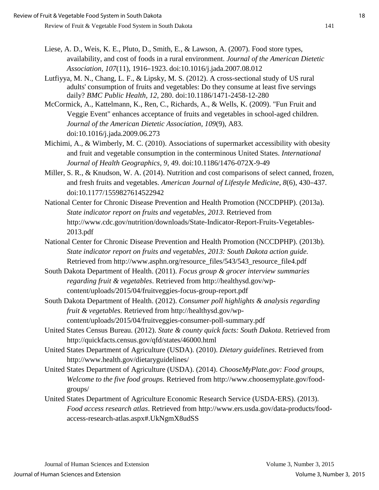- Liese, A. D., Weis, K. E., Pluto, D., Smith, E., & Lawson, A. (2007). Food store types, availability, and cost of foods in a rural environment. *Journal of the American Dietetic Association, 107*(11), 1916–1923. doi:10.1016/j.jada.2007.08.012
- Lutfiyya, M. N., Chang, L. F., & Lipsky, M. S. (2012). A cross-sectional study of US rural adults' consumption of fruits and vegetables: Do they consume at least five servings daily? *BMC Public Health, 12*, 280. doi:10.1186/1471-2458-12-280
- McCormick, A., Kattelmann, K., Ren, C., Richards, A., & Wells, K. (2009). "Fun Fruit and Veggie Event" enhances acceptance of fruits and vegetables in school-aged children. *Journal of the American Dietetic Association, 109*(9), A83. doi:10.1016/j.jada.2009.06.273
- Michimi, A., & Wimberly, M. C. (2010). Associations of supermarket accessibility with obesity and fruit and vegetable consumption in the conterminous United States. *International Journal of Health Geographics, 9*, 49. doi:10.1186/1476-072X-9-49
- Miller, S. R., & Knudson, W. A. (2014). Nutrition and cost comparisons of select canned, frozen, and fresh fruits and vegetables. *American Journal of Lifestyle Medicine, 8*(6), 430–437. doi:10.1177/1559827614522942
- National Center for Chronic Disease Prevention and Health Promotion (NCCDPHP). (2013a). *State indicator report on fruits and vegetables, 2013*. Retrieved from http://www.cdc.gov/nutrition/downloads/State-Indicator-Report-Fruits-Vegetables-2013.pdf
- National Center for Chronic Disease Prevention and Health Promotion (NCCDPHP). (2013b). *State indicator report on fruits and vegetables, 2013: South Dakota action guide.*  Retrieved from http://www.asphn.org/resource\_files/543/543\_resource\_file4.pdf
- South Dakota Department of Health. (2011). *Focus group & grocer interview summaries regarding fruit & vegetables*. Retrieved from http://healthysd.gov/wpcontent/uploads/2015/04/fruitveggies-focus-group-report.pdf
- South Dakota Department of Health. (2012). *Consumer poll highlights & analysis regarding fruit & vegetables*. Retrieved from http://healthysd.gov/wpcontent/uploads/2015/04/fruitveggies-consumer-poll-summary.pdf
- United States Census Bureau. (2012). *State & county quick facts: South Dakota*. Retrieved from http://quickfacts.census.gov/qfd/states/46000.html
- United States Department of Agriculture (USDA). (2010). *Dietary guidelines*. Retrieved from http://www.health.gov/dietaryguidelines/
- United States Department of Agriculture (USDA). (2014). *ChooseMyPlate.gov: Food groups, Welcome to the five food groups.* Retrieved from http://www.choosemyplate.gov/foodgroups/
- United States Department of Agriculture Economic Research Service (USDA-ERS). (2013). *Food access research atlas*. Retrieved from http://www.ers.usda.gov/data-products/foodaccess-research-atlas.aspx#.UkNgmX8udSS